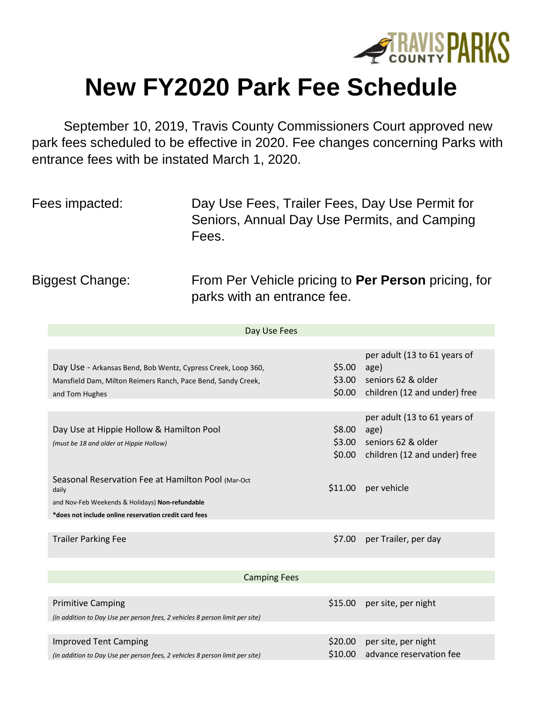

## **New FY2020 Park Fee Schedule**

September 10, 2019, Travis County Commissioners Court approved new park fees scheduled to be effective in 2020. Fee changes concerning Parks with entrance fees with be instated March 1, 2020.

| Fees impacted: | Day Use Fees, Trailer Fees, Day Use Permit for |
|----------------|------------------------------------------------|
|                | Seniors, Annual Day Use Permits, and Camping   |
|                | Fees.                                          |

Biggest Change: From Per Vehicle pricing to **Per Person** pricing, for parks with an entrance fee.

| Day Use Fees                                                                                                                                   |                    |                                                                                                   |  |  |
|------------------------------------------------------------------------------------------------------------------------------------------------|--------------------|---------------------------------------------------------------------------------------------------|--|--|
| Day Use - Arkansas Bend, Bob Wentz, Cypress Creek, Loop 360,<br>Mansfield Dam, Milton Reimers Ranch, Pace Bend, Sandy Creek,<br>and Tom Hughes | \$5.00<br>\$0.00   | per adult (13 to 61 years of<br>age)<br>\$3.00 seniors 62 & older<br>children (12 and under) free |  |  |
| Day Use at Hippie Hollow & Hamilton Pool<br>(must be 18 and older at Hippie Hollow)                                                            | \$8.00<br>\$3.00   | per adult (13 to 61 years of<br>age)<br>seniors 62 & older<br>\$0.00 children (12 and under) free |  |  |
| Seasonal Reservation Fee at Hamilton Pool (Mar-Oct)<br>daily<br>and Nov-Feb Weekends & Holidays) Non-refundable                                | \$11.00            | per vehicle                                                                                       |  |  |
| *does not include online reservation credit card fees                                                                                          |                    |                                                                                                   |  |  |
| <b>Trailer Parking Fee</b>                                                                                                                     | \$7.00             | per Trailer, per day                                                                              |  |  |
| <b>Camping Fees</b>                                                                                                                            |                    |                                                                                                   |  |  |
|                                                                                                                                                |                    |                                                                                                   |  |  |
| <b>Primitive Camping</b><br>(in addition to Day Use per person fees, 2 vehicles 8 person limit per site)                                       | \$15.00            | per site, per night                                                                               |  |  |
|                                                                                                                                                |                    |                                                                                                   |  |  |
| <b>Improved Tent Camping</b><br>(in addition to Day Use per person fees, 2 vehicles 8 person limit per site)                                   | \$20.00<br>\$10.00 | per site, per night<br>advance reservation fee                                                    |  |  |